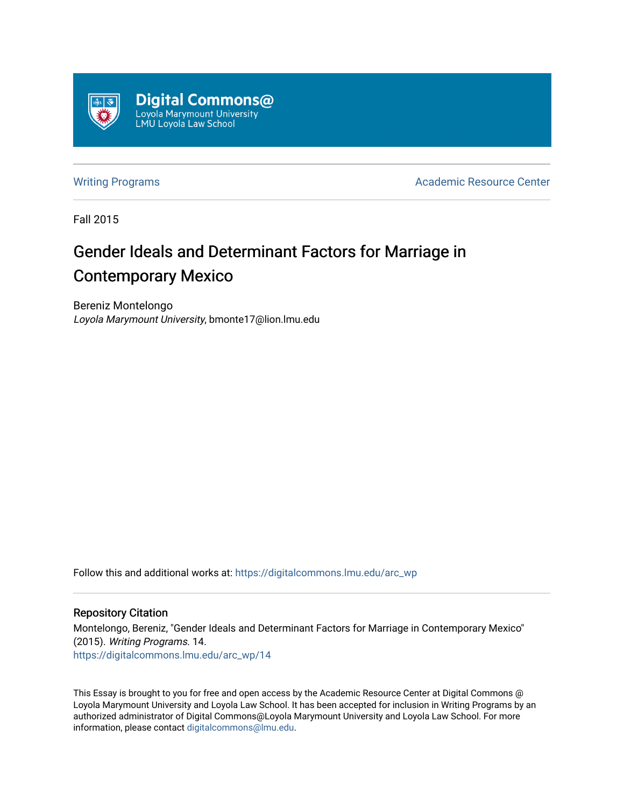

[Writing Programs](https://digitalcommons.lmu.edu/arc_wp) **Academic Resource Center** Academic Resource Center

Fall 2015

# Gender Ideals and Determinant Factors for Marriage in Contemporary Mexico

Bereniz Montelongo Loyola Marymount University, bmonte17@lion.lmu.edu

Follow this and additional works at: [https://digitalcommons.lmu.edu/arc\\_wp](https://digitalcommons.lmu.edu/arc_wp?utm_source=digitalcommons.lmu.edu%2Farc_wp%2F14&utm_medium=PDF&utm_campaign=PDFCoverPages)

### Repository Citation

Montelongo, Bereniz, "Gender Ideals and Determinant Factors for Marriage in Contemporary Mexico" (2015). Writing Programs. 14. [https://digitalcommons.lmu.edu/arc\\_wp/14](https://digitalcommons.lmu.edu/arc_wp/14?utm_source=digitalcommons.lmu.edu%2Farc_wp%2F14&utm_medium=PDF&utm_campaign=PDFCoverPages) 

This Essay is brought to you for free and open access by the Academic Resource Center at Digital Commons @ Loyola Marymount University and Loyola Law School. It has been accepted for inclusion in Writing Programs by an authorized administrator of Digital Commons@Loyola Marymount University and Loyola Law School. For more information, please contact [digitalcommons@lmu.edu.](mailto:digitalcommons@lmu.edu)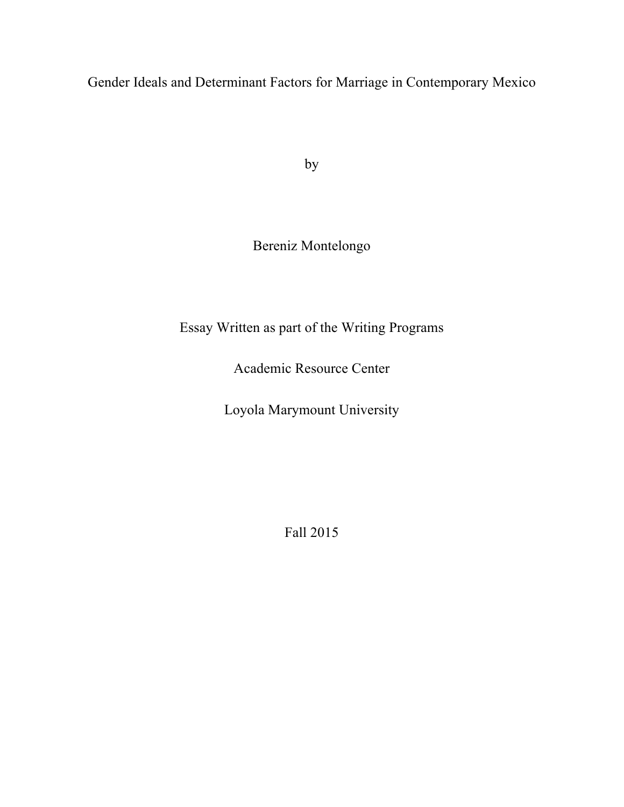Gender Ideals and Determinant Factors for Marriage in Contemporary Mexico

by

## Bereniz Montelongo

## Essay Written as part of the Writing Programs

Academic Resource Center

Loyola Marymount University

Fall 2015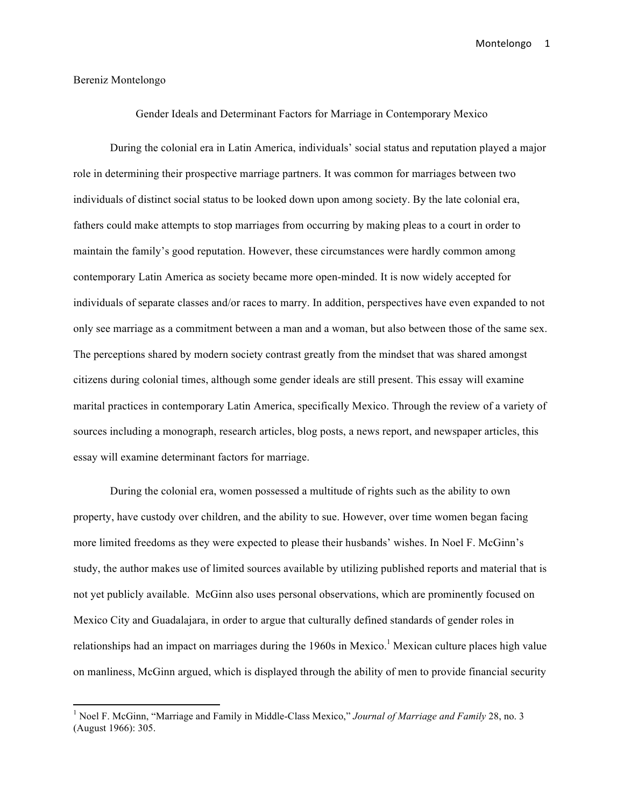#### Bereniz Montelongo

 

Gender Ideals and Determinant Factors for Marriage in Contemporary Mexico

During the colonial era in Latin America, individuals' social status and reputation played a major role in determining their prospective marriage partners. It was common for marriages between two individuals of distinct social status to be looked down upon among society. By the late colonial era, fathers could make attempts to stop marriages from occurring by making pleas to a court in order to maintain the family's good reputation. However, these circumstances were hardly common among contemporary Latin America as society became more open-minded. It is now widely accepted for individuals of separate classes and/or races to marry. In addition, perspectives have even expanded to not only see marriage as a commitment between a man and a woman, but also between those of the same sex. The perceptions shared by modern society contrast greatly from the mindset that was shared amongst citizens during colonial times, although some gender ideals are still present. This essay will examine marital practices in contemporary Latin America, specifically Mexico. Through the review of a variety of sources including a monograph, research articles, blog posts, a news report, and newspaper articles, this essay will examine determinant factors for marriage.

During the colonial era, women possessed a multitude of rights such as the ability to own property, have custody over children, and the ability to sue. However, over time women began facing more limited freedoms as they were expected to please their husbands' wishes. In Noel F. McGinn's study, the author makes use of limited sources available by utilizing published reports and material that is not yet publicly available. McGinn also uses personal observations, which are prominently focused on Mexico City and Guadalajara, in order to argue that culturally defined standards of gender roles in relationships had an impact on marriages during the 1960s in Mexico.<sup>1</sup> Mexican culture places high value on manliness, McGinn argued, which is displayed through the ability of men to provide financial security

<sup>1</sup> Noel F. McGinn, "Marriage and Family in Middle-Class Mexico," *Journal of Marriage and Family* 28, no. 3 (August 1966): 305.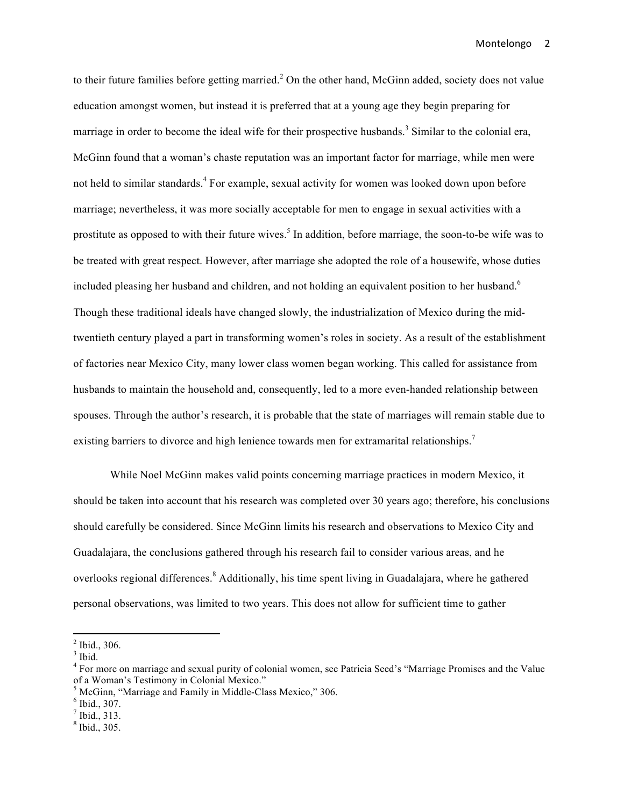to their future families before getting married.<sup>2</sup> On the other hand, McGinn added, society does not value education amongst women, but instead it is preferred that at a young age they begin preparing for marriage in order to become the ideal wife for their prospective husbands.<sup>3</sup> Similar to the colonial era, McGinn found that a woman's chaste reputation was an important factor for marriage, while men were not held to similar standards.<sup>4</sup> For example, sexual activity for women was looked down upon before marriage; nevertheless, it was more socially acceptable for men to engage in sexual activities with a prostitute as opposed to with their future wives.<sup>5</sup> In addition, before marriage, the soon-to-be wife was to be treated with great respect. However, after marriage she adopted the role of a housewife, whose duties included pleasing her husband and children, and not holding an equivalent position to her husband.<sup>6</sup> Though these traditional ideals have changed slowly, the industrialization of Mexico during the midtwentieth century played a part in transforming women's roles in society. As a result of the establishment of factories near Mexico City, many lower class women began working. This called for assistance from husbands to maintain the household and, consequently, led to a more even-handed relationship between spouses. Through the author's research, it is probable that the state of marriages will remain stable due to existing barriers to divorce and high lenience towards men for extramarital relationships.<sup>7</sup>

While Noel McGinn makes valid points concerning marriage practices in modern Mexico, it should be taken into account that his research was completed over 30 years ago; therefore, his conclusions should carefully be considered. Since McGinn limits his research and observations to Mexico City and Guadalajara, the conclusions gathered through his research fail to consider various areas, and he overlooks regional differences.<sup>8</sup> Additionally, his time spent living in Guadalajara, where he gathered personal observations, was limited to two years. This does not allow for sufficient time to gather

 $\frac{2}{3}$  Ibid., 306.  $\frac{3}{3}$  Ibid.

<sup>4</sup> For more on marriage and sexual purity of colonial women, see Patricia Seed's "Marriage Promises and the Value of a Woman's Testimony in Colonial Mexico."

<sup>&</sup>lt;sup>5</sup> McGinn, "Marriage and Family in Middle-Class Mexico," 306.<br>  $\frac{6}{7}$  Ibid., 307.<br>
<sup>7</sup> Ibid., 313.<br>
<sup>8</sup> Ibid., 305.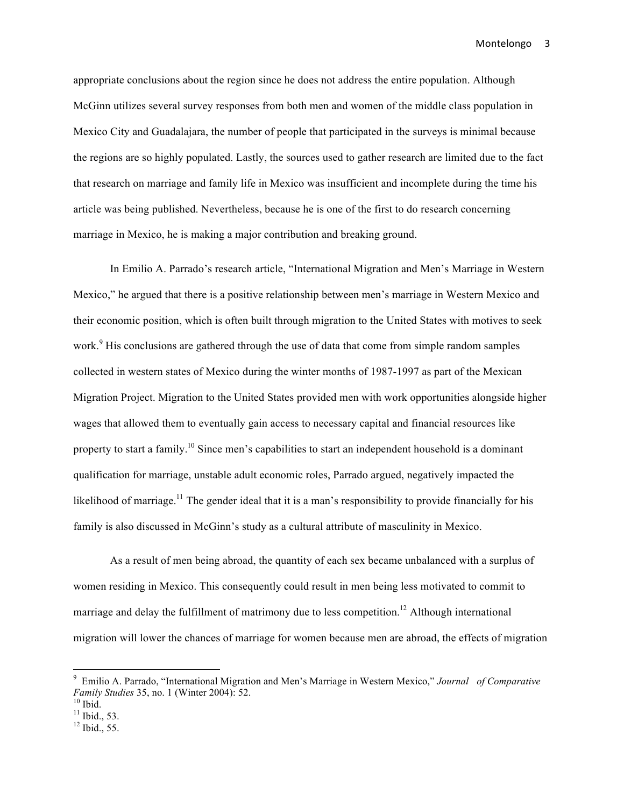appropriate conclusions about the region since he does not address the entire population. Although McGinn utilizes several survey responses from both men and women of the middle class population in Mexico City and Guadalajara, the number of people that participated in the surveys is minimal because the regions are so highly populated. Lastly, the sources used to gather research are limited due to the fact that research on marriage and family life in Mexico was insufficient and incomplete during the time his article was being published. Nevertheless, because he is one of the first to do research concerning marriage in Mexico, he is making a major contribution and breaking ground.

In Emilio A. Parrado's research article, "International Migration and Men's Marriage in Western Mexico," he argued that there is a positive relationship between men's marriage in Western Mexico and their economic position, which is often built through migration to the United States with motives to seek work.<sup>9</sup> His conclusions are gathered through the use of data that come from simple random samples collected in western states of Mexico during the winter months of 1987-1997 as part of the Mexican Migration Project. Migration to the United States provided men with work opportunities alongside higher wages that allowed them to eventually gain access to necessary capital and financial resources like property to start a family.<sup>10</sup> Since men's capabilities to start an independent household is a dominant qualification for marriage, unstable adult economic roles, Parrado argued, negatively impacted the likelihood of marriage.<sup>11</sup> The gender ideal that it is a man's responsibility to provide financially for his family is also discussed in McGinn's study as a cultural attribute of masculinity in Mexico.

As a result of men being abroad, the quantity of each sex became unbalanced with a surplus of women residing in Mexico. This consequently could result in men being less motivated to commit to marriage and delay the fulfillment of matrimony due to less competition.<sup>12</sup> Although international migration will lower the chances of marriage for women because men are abroad, the effects of migration

<sup>9</sup> Emilio A. Parrado, "International Migration and Men's Marriage in Western Mexico," *Journal of Comparative Family Studies* 35, no. 1 (Winter 2004): 52.<br><sup>10</sup> Ibid.<br><sup>11</sup> Ibid., 53.<br><sup>12</sup> Ibid., 55.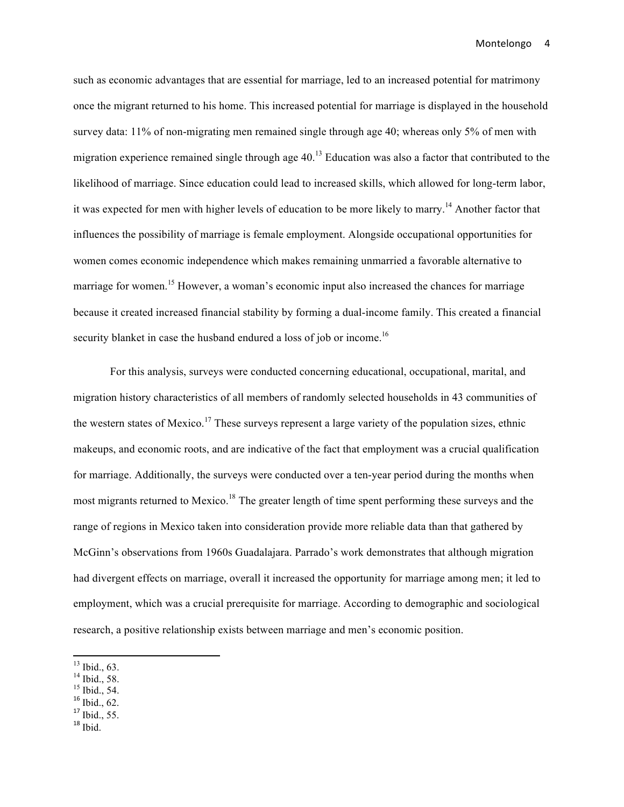such as economic advantages that are essential for marriage, led to an increased potential for matrimony once the migrant returned to his home. This increased potential for marriage is displayed in the household survey data: 11% of non-migrating men remained single through age 40; whereas only 5% of men with migration experience remained single through age 40.<sup>13</sup> Education was also a factor that contributed to the likelihood of marriage. Since education could lead to increased skills, which allowed for long-term labor, it was expected for men with higher levels of education to be more likely to marry.<sup>14</sup> Another factor that influences the possibility of marriage is female employment. Alongside occupational opportunities for women comes economic independence which makes remaining unmarried a favorable alternative to marriage for women.<sup>15</sup> However, a woman's economic input also increased the chances for marriage because it created increased financial stability by forming a dual-income family. This created a financial security blanket in case the husband endured a loss of job or income.<sup>16</sup>

For this analysis, surveys were conducted concerning educational, occupational, marital, and migration history characteristics of all members of randomly selected households in 43 communities of the western states of Mexico.<sup>17</sup> These surveys represent a large variety of the population sizes, ethnic makeups, and economic roots, and are indicative of the fact that employment was a crucial qualification for marriage. Additionally, the surveys were conducted over a ten-year period during the months when most migrants returned to Mexico.<sup>18</sup> The greater length of time spent performing these surveys and the range of regions in Mexico taken into consideration provide more reliable data than that gathered by McGinn's observations from 1960s Guadalajara. Parrado's work demonstrates that although migration had divergent effects on marriage, overall it increased the opportunity for marriage among men; it led to employment, which was a crucial prerequisite for marriage. According to demographic and sociological research, a positive relationship exists between marriage and men's economic position.

- 
- <sup>13</sup> Ibid., 63.<br><sup>14</sup> Ibid., 58.<br><sup>15</sup> Ibid., 54.<br><sup>16</sup> Ibid., 62.
- 
- $17$  Ibid., 55.
- $18$  Ibid.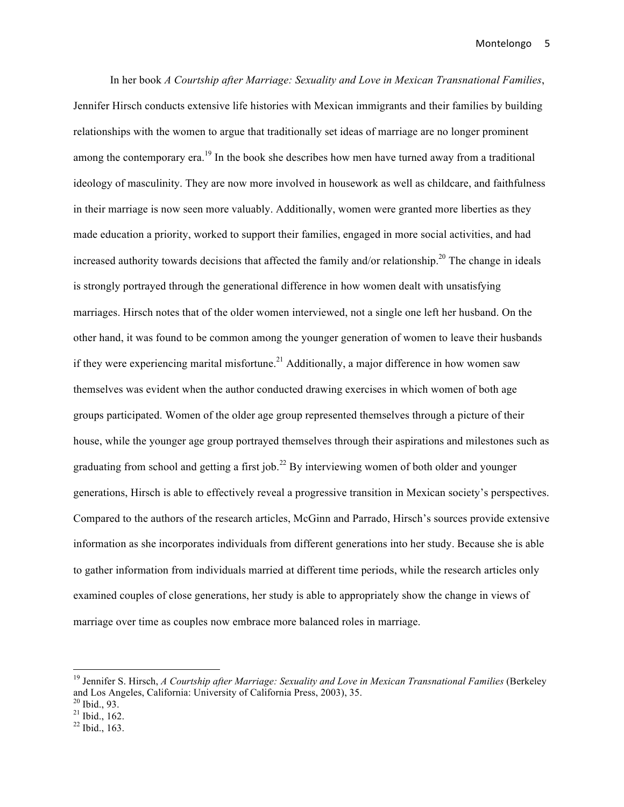In her book *A Courtship after Marriage: Sexuality and Love in Mexican Transnational Families*, Jennifer Hirsch conducts extensive life histories with Mexican immigrants and their families by building relationships with the women to argue that traditionally set ideas of marriage are no longer prominent among the contemporary era.<sup>19</sup> In the book she describes how men have turned away from a traditional ideology of masculinity. They are now more involved in housework as well as childcare, and faithfulness in their marriage is now seen more valuably. Additionally, women were granted more liberties as they made education a priority, worked to support their families, engaged in more social activities, and had increased authority towards decisions that affected the family and/or relationship.<sup>20</sup> The change in ideals is strongly portrayed through the generational difference in how women dealt with unsatisfying marriages. Hirsch notes that of the older women interviewed, not a single one left her husband. On the other hand, it was found to be common among the younger generation of women to leave their husbands if they were experiencing marital misfortune.<sup>21</sup> Additionally, a major difference in how women saw themselves was evident when the author conducted drawing exercises in which women of both age groups participated. Women of the older age group represented themselves through a picture of their house, while the younger age group portrayed themselves through their aspirations and milestones such as graduating from school and getting a first job.<sup>22</sup> By interviewing women of both older and younger generations, Hirsch is able to effectively reveal a progressive transition in Mexican society's perspectives. Compared to the authors of the research articles, McGinn and Parrado, Hirsch's sources provide extensive information as she incorporates individuals from different generations into her study. Because she is able to gather information from individuals married at different time periods, while the research articles only examined couples of close generations, her study is able to appropriately show the change in views of marriage over time as couples now embrace more balanced roles in marriage.

<sup>19</sup> Jennifer S. Hirsch, *A Courtship after Marriage: Sexuality and Love in Mexican Transnational Families* (Berkeley and Los Angeles, California: University of California Press, 2003), 35.<br><sup>20</sup> Ibid., 93.<br><sup>21</sup> Ibid., 162.<br><sup>22</sup> Ibid., 163.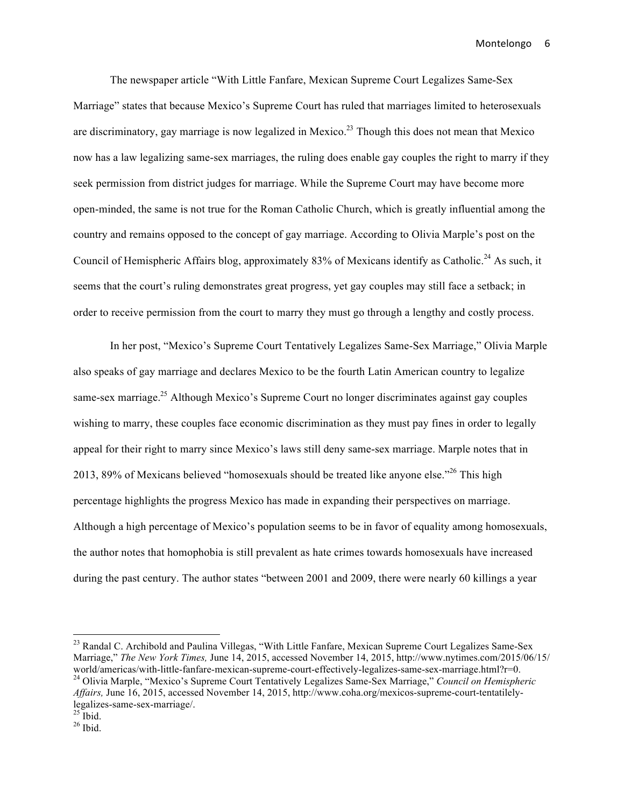The newspaper article "With Little Fanfare, Mexican Supreme Court Legalizes Same-Sex Marriage" states that because Mexico's Supreme Court has ruled that marriages limited to heterosexuals are discriminatory, gay marriage is now legalized in Mexico.<sup>23</sup> Though this does not mean that Mexico now has a law legalizing same-sex marriages, the ruling does enable gay couples the right to marry if they seek permission from district judges for marriage. While the Supreme Court may have become more open-minded, the same is not true for the Roman Catholic Church, which is greatly influential among the country and remains opposed to the concept of gay marriage. According to Olivia Marple's post on the Council of Hemispheric Affairs blog, approximately 83% of Mexicans identify as Catholic.<sup>24</sup> As such, it seems that the court's ruling demonstrates great progress, yet gay couples may still face a setback; in order to receive permission from the court to marry they must go through a lengthy and costly process.

In her post, "Mexico's Supreme Court Tentatively Legalizes Same-Sex Marriage," Olivia Marple also speaks of gay marriage and declares Mexico to be the fourth Latin American country to legalize same-sex marriage.<sup>25</sup> Although Mexico's Supreme Court no longer discriminates against gay couples wishing to marry, these couples face economic discrimination as they must pay fines in order to legally appeal for their right to marry since Mexico's laws still deny same-sex marriage. Marple notes that in 2013, 89% of Mexicans believed "homosexuals should be treated like anyone else."<sup>26</sup> This high percentage highlights the progress Mexico has made in expanding their perspectives on marriage. Although a high percentage of Mexico's population seems to be in favor of equality among homosexuals, the author notes that homophobia is still prevalent as hate crimes towards homosexuals have increased during the past century. The author states "between 2001 and 2009, there were nearly 60 killings a year

<sup>&</sup>lt;sup>23</sup> Randal C. Archibold and Paulina Villegas, "With Little Fanfare, Mexican Supreme Court Legalizes Same-Sex Marriage," *The New York Times, June 14, 2015, accessed November 14, 2015, http://www.nytimes.com/2015/06/15/ world/americas/with-little-fanfare-mexican-supreme-court-effectively-legalizes-same-sex-marriage.html?r=0.* <sup>24</sup> Olivia Marple, "Mexico's Supreme Court Tentatively Legalizes Same-Sex Marriage," *Council on Hemispheric Affairs,* June 16, 2015, accessed November 14, 2015, http://www.coha.org/mexicos-supreme-court-tentatilelylegalizes-same-sex-marriage/.<br><sup>25</sup> Ibid.<br><sup>26</sup> Ibid.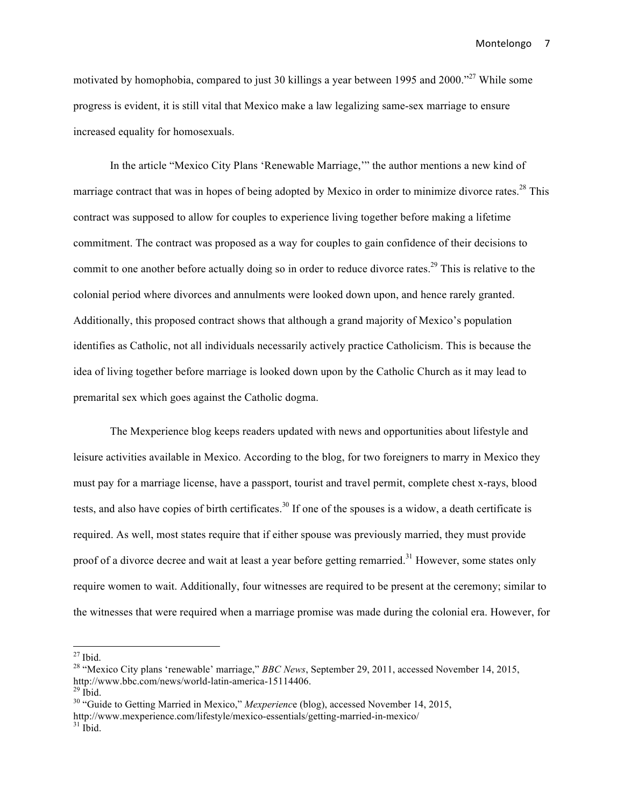motivated by homophobia, compared to just 30 killings a year between 1995 and 2000."<sup>27</sup> While some progress is evident, it is still vital that Mexico make a law legalizing same-sex marriage to ensure increased equality for homosexuals.

In the article "Mexico City Plans 'Renewable Marriage,'" the author mentions a new kind of marriage contract that was in hopes of being adopted by Mexico in order to minimize divorce rates.<sup>28</sup> This contract was supposed to allow for couples to experience living together before making a lifetime commitment. The contract was proposed as a way for couples to gain confidence of their decisions to commit to one another before actually doing so in order to reduce divorce rates.<sup>29</sup> This is relative to the colonial period where divorces and annulments were looked down upon, and hence rarely granted. Additionally, this proposed contract shows that although a grand majority of Mexico's population identifies as Catholic, not all individuals necessarily actively practice Catholicism. This is because the idea of living together before marriage is looked down upon by the Catholic Church as it may lead to premarital sex which goes against the Catholic dogma.

The Mexperience blog keeps readers updated with news and opportunities about lifestyle and leisure activities available in Mexico. According to the blog, for two foreigners to marry in Mexico they must pay for a marriage license, have a passport, tourist and travel permit, complete chest x-rays, blood tests, and also have copies of birth certificates.<sup>30</sup> If one of the spouses is a widow, a death certificate is required. As well, most states require that if either spouse was previously married, they must provide proof of a divorce decree and wait at least a year before getting remarried.<sup>31</sup> However, some states only require women to wait. Additionally, four witnesses are required to be present at the ceremony; similar to the witnesses that were required when a marriage promise was made during the colonial era. However, for

<sup>&</sup>lt;sup>27</sup> Ibid.<br><sup>28</sup> "Mexico City plans 'renewable' marriage," *BBC News*, September 29, 2011, accessed November 14, 2015, http://www.bbc.com/news/world-latin-america-15114406.

<sup>&</sup>lt;sup>29</sup> Ibid.<br><sup>30</sup> "Guide to Getting Married in Mexico," *Mexperience* (blog), accessed November 14, 2015, http://www.mexperience.com/lifestyle/mexico-essentials/getting-married-in-mexico/ <sup>31</sup> Ibid.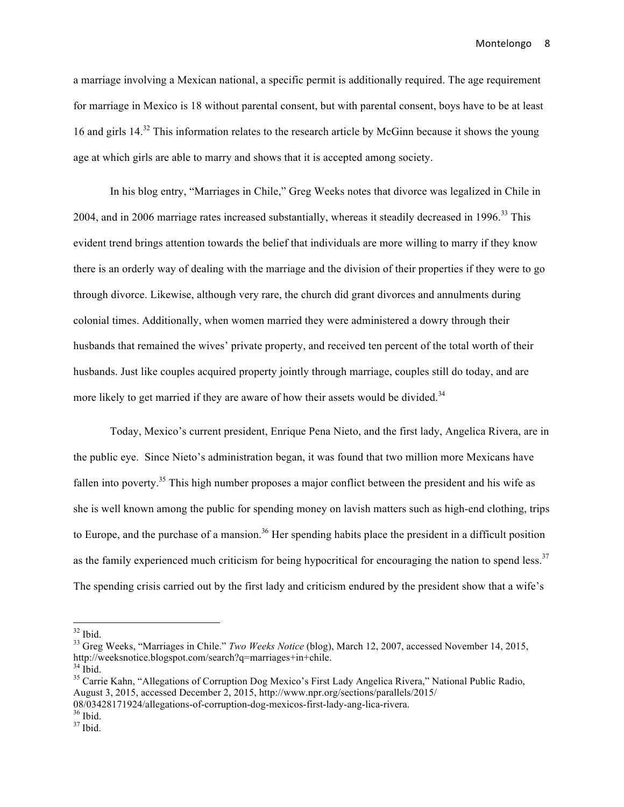a marriage involving a Mexican national, a specific permit is additionally required. The age requirement for marriage in Mexico is 18 without parental consent, but with parental consent, boys have to be at least 16 and girls 14.<sup>32</sup> This information relates to the research article by McGinn because it shows the young age at which girls are able to marry and shows that it is accepted among society.

In his blog entry, "Marriages in Chile," Greg Weeks notes that divorce was legalized in Chile in 2004, and in 2006 marriage rates increased substantially, whereas it steadily decreased in 1996.<sup>33</sup> This evident trend brings attention towards the belief that individuals are more willing to marry if they know there is an orderly way of dealing with the marriage and the division of their properties if they were to go through divorce. Likewise, although very rare, the church did grant divorces and annulments during colonial times. Additionally, when women married they were administered a dowry through their husbands that remained the wives' private property, and received ten percent of the total worth of their husbands. Just like couples acquired property jointly through marriage, couples still do today, and are more likely to get married if they are aware of how their assets would be divided.<sup>34</sup>

Today, Mexico's current president, Enrique Pena Nieto, and the first lady, Angelica Rivera, are in the public eye. Since Nieto's administration began, it was found that two million more Mexicans have fallen into poverty.<sup>35</sup> This high number proposes a major conflict between the president and his wife as she is well known among the public for spending money on lavish matters such as high-end clothing, trips to Europe, and the purchase of a mansion.<sup>36</sup> Her spending habits place the president in a difficult position as the family experienced much criticism for being hypocritical for encouraging the nation to spend less.<sup>37</sup> The spending crisis carried out by the first lady and criticism endured by the president show that a wife's

<sup>&</sup>lt;sup>32</sup> Ibid.<br><sup>33</sup> Greg Weeks, "Marriages in Chile." *Two Weeks Notice* (blog), March 12, 2007, accessed November 14, 2015, http://weeksnotice.blogspot.com/search?q=marriages+in+chile.<br><sup>34</sup> Ibid.<br><sup>35</sup> Carrie Kahn, "Allegations of Corruption Dog Mexico's First Lady Angelica Rivera," National Public Radio,

August 3, 2015, accessed December 2, 2015, http://www.npr.org/sections/parallels/2015/

<sup>08/03428171924/</sup>allegations-of-corruption-dog-mexicos-first-lady-ang-lica-rivera.<br><sup>36</sup> Ibid. <sup>37</sup> Ibid.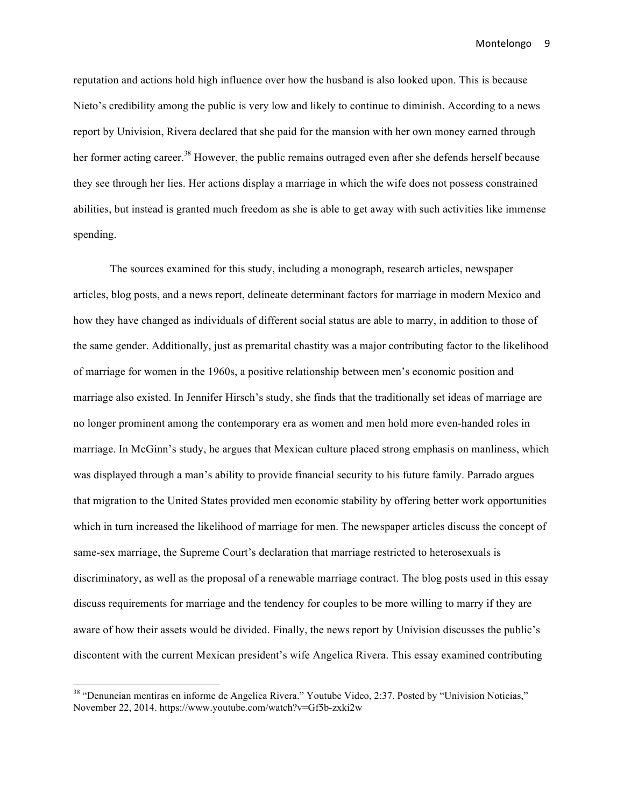reputation and actions hold high influence over how the husband is also looked upon. This is because Nieto's credibility among the public is very low and likely to continue to diminish. According to a news report by Univision, Rivera declared that she paid for the mansion with her own money earned through her former acting career.<sup>38</sup> However, the public remains outraged even after she defends herself because they see through her lies. Her actions display a marriage in which the wife does not possess constrained abilities, but instead is granted much freedom as she is able to get away with such activities like immense spending.

The sources examined for this study, including a monograph, research articles, newspaper articles, blog posts, and a news report, delineate determinant factors for marriage in modern Mexico and how they have changed as individuals of different social status are able to marry, in addition to those of the same gender. Additionally, just as premarital chastity was a major contributing factor to the likelihood of marriage for women in the 1960s, a positive relationship between men's economic position and marriage also existed. In Jennifer Hirsch's study, she finds that the traditionally set ideas of marriage are no longer prominent among the contemporary era as women and men hold more even-handed roles in marriage. In McGinn's study, he argues that Mexican culture placed strong emphasis on manliness, which was displayed through a man's ability to provide financial security to his future family. Parrado argues that migration to the United States provided men economic stability by offering better work opportunities which in turn increased the likelihood of marriage for men. The newspaper articles discuss the concept of same-sex marriage, the Supreme Court's declaration that marriage restricted to heterosexuals is discriminatory, as well as the proposal of a renewable marriage contract. The blog posts used in this essay discuss requirements for marriage and the tendency for couples to be more willing to marry if they are aware of how their assets would be divided. Finally, the news report by Univision discusses the public's discontent with the current Mexican president's wife Angelica Rivera. This essay examined contributing

<sup>&</sup>lt;sup>38</sup> "Denuncian mentiras en informe de Angelica Rivera." Youtube Video, 2:37. Posted by "Univision Noticias," November 22, 2014. https://www.youtube.com/watch?v=Gf5b-zxki2w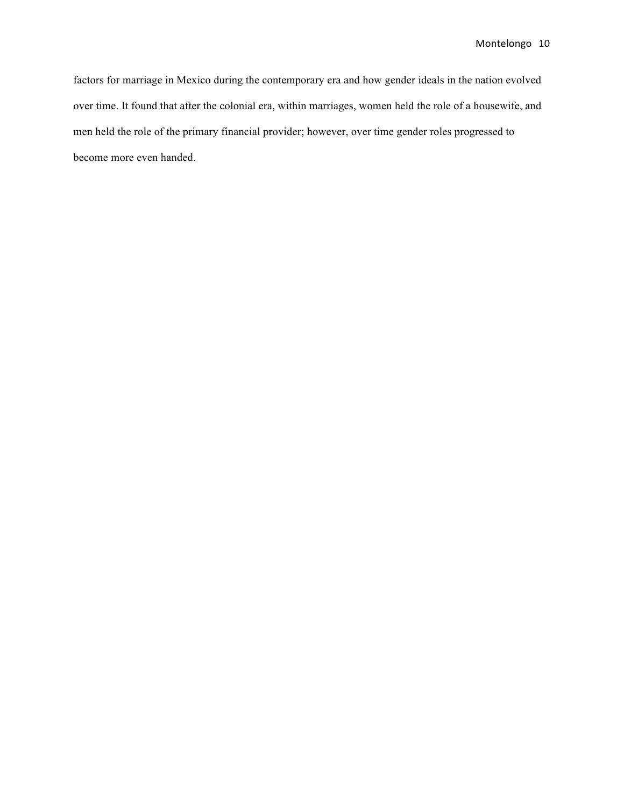factors for marriage in Mexico during the contemporary era and how gender ideals in the nation evolved over time. It found that after the colonial era, within marriages, women held the role of a housewife, and men held the role of the primary financial provider; however, over time gender roles progressed to become more even handed.